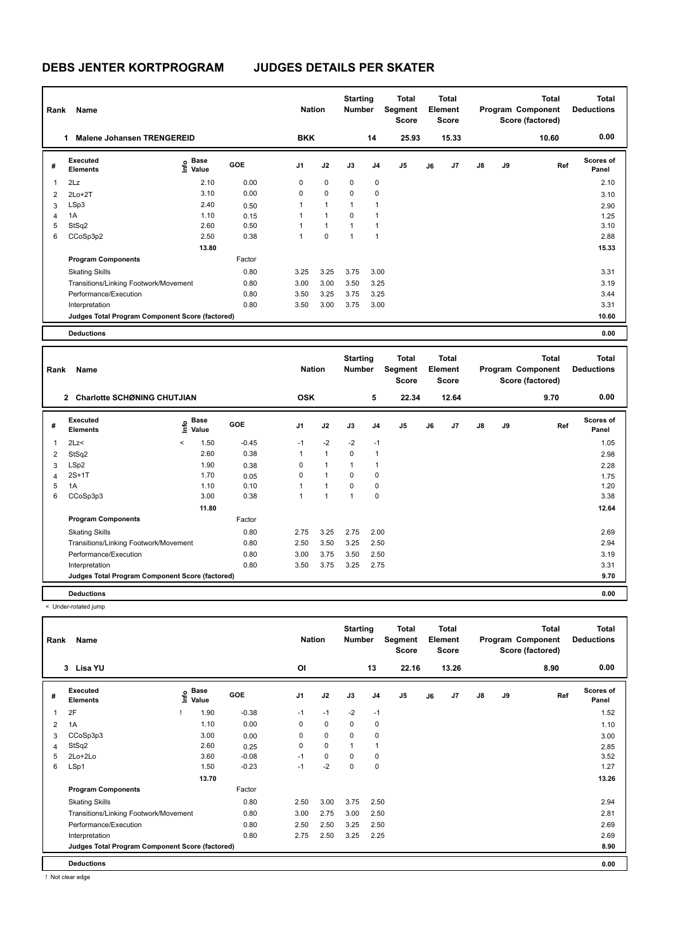# **DEBS JENTER KORTPROGRAM JUDGES DETAILS PER SKATER**

| Rank | Name                                            |                   | <b>Nation</b> |                | <b>Starting</b><br><b>Number</b> |                | Total<br>Segment<br><b>Score</b> |                | Total<br>Element<br><b>Score</b> |       |               | <b>Total</b><br>Program Component<br>Score (factored) | Total<br><b>Deductions</b> |                           |
|------|-------------------------------------------------|-------------------|---------------|----------------|----------------------------------|----------------|----------------------------------|----------------|----------------------------------|-------|---------------|-------------------------------------------------------|----------------------------|---------------------------|
|      | <b>Malene Johansen TRENGEREID</b><br>1          |                   |               | <b>BKK</b>     |                                  |                | 14                               | 25.93          |                                  | 15.33 |               |                                                       | 10.60                      | 0.00                      |
| #    | Executed<br><b>Elements</b>                     | e Base<br>E Value | <b>GOE</b>    | J <sub>1</sub> | J2                               | J3             | J <sub>4</sub>                   | J <sub>5</sub> | J6                               | J7    | $\mathsf{J}8$ | J9                                                    | Ref                        | <b>Scores of</b><br>Panel |
| 1    | 2Lz                                             | 2.10              | 0.00          | 0              | 0                                | 0              | 0                                |                |                                  |       |               |                                                       |                            | 2.10                      |
| 2    | $2Lo+2T$                                        | 3.10              | 0.00          | 0              | $\mathbf 0$                      | 0              | 0                                |                |                                  |       |               |                                                       |                            | 3.10                      |
| 3    | LSp3                                            | 2.40              | 0.50          |                | $\overline{1}$                   | 1              | $\overline{1}$                   |                |                                  |       |               |                                                       |                            | 2.90                      |
| 4    | 1A                                              | 1.10              | 0.15          |                | $\overline{1}$                   | $\Omega$       | $\overline{\phantom{a}}$         |                |                                  |       |               |                                                       |                            | 1.25                      |
| 5    | StSq2                                           | 2.60              | 0.50          |                | $\overline{1}$                   | $\overline{ }$ | $\overline{\phantom{a}}$         |                |                                  |       |               |                                                       |                            | 3.10                      |
| 6    | CCoSp3p2                                        | 2.50              | 0.38          | 1              | $\Omega$                         | 1              | $\overline{1}$                   |                |                                  |       |               |                                                       |                            | 2.88                      |
|      |                                                 | 13.80             |               |                |                                  |                |                                  |                |                                  |       |               |                                                       |                            | 15.33                     |
|      | <b>Program Components</b>                       |                   | Factor        |                |                                  |                |                                  |                |                                  |       |               |                                                       |                            |                           |
|      | <b>Skating Skills</b>                           |                   | 0.80          | 3.25           | 3.25                             | 3.75           | 3.00                             |                |                                  |       |               |                                                       |                            | 3.31                      |
|      | Transitions/Linking Footwork/Movement           |                   | 0.80          | 3.00           | 3.00                             | 3.50           | 3.25                             |                |                                  |       |               |                                                       |                            | 3.19                      |
|      | Performance/Execution                           |                   | 0.80          | 3.50           | 3.25                             | 3.75           | 3.25                             |                |                                  |       |               |                                                       |                            | 3.44                      |
|      | Interpretation                                  |                   | 0.80          | 3.50           | 3.00                             | 3.75           | 3.00                             |                |                                  |       |               |                                                       |                            | 3.31                      |
|      | Judges Total Program Component Score (factored) |                   |               |                |                                  |                |                                  |                |                                  |       |               |                                                       |                            | 10.60                     |
|      | <b>Deductions</b>                               |                   |               |                |                                  |                |                                  |                |                                  |       |               |                                                       |                            | 0.00                      |

| Rank           | Name                                                 |                          |                                  |         | <b>Nation</b>  |                         | <b>Starting</b><br><b>Number</b> |                | <b>Total</b><br>Segment<br><b>Score</b> |    | <b>Total</b><br>Element<br><b>Score</b> |               |    | <b>Total</b><br>Program Component<br>Score (factored) | <b>Total</b><br><b>Deductions</b> |
|----------------|------------------------------------------------------|--------------------------|----------------------------------|---------|----------------|-------------------------|----------------------------------|----------------|-----------------------------------------|----|-----------------------------------------|---------------|----|-------------------------------------------------------|-----------------------------------|
|                | <b>Charlotte SCHØNING CHUTJIAN</b><br>$\overline{2}$ |                          |                                  |         | <b>OSK</b>     |                         |                                  | 5              | 22.34                                   |    | 12.64                                   |               |    | 9.70                                                  | 0.00                              |
| #              | Executed<br><b>Elements</b>                          |                          | <b>Base</b><br>e Base<br>⊆ Value | GOE     | J <sub>1</sub> | J2                      | J3                               | J <sub>4</sub> | J5                                      | J6 | J <sub>7</sub>                          | $\mathsf{J}8$ | J9 | Ref                                                   | <b>Scores of</b><br>Panel         |
| $\overline{1}$ | 2Lz<                                                 | $\overline{\phantom{a}}$ | 1.50                             | $-0.45$ | $-1$           | $-2$                    | $-2$                             | $-1$           |                                         |    |                                         |               |    |                                                       | 1.05                              |
| 2              | StSq2                                                |                          | 2.60                             | 0.38    | 1              | $\mathbf{1}$            | 0                                |                |                                         |    |                                         |               |    |                                                       | 2.98                              |
| 3              | LSp2                                                 |                          | 1.90                             | 0.38    | 0              | 1                       | 1                                |                |                                         |    |                                         |               |    |                                                       | 2.28                              |
| 4              | $2S+1T$                                              |                          | 1.70                             | 0.05    | 0              | $\overline{1}$          | $\Omega$                         | 0              |                                         |    |                                         |               |    |                                                       | 1.75                              |
| 5              | 1A                                                   |                          | 1.10                             | 0.10    |                | $\overline{ }$          | $\Omega$                         | 0              |                                         |    |                                         |               |    |                                                       | 1.20                              |
| 6              | CCoSp3p3                                             |                          | 3.00                             | 0.38    | $\overline{ }$ | $\overline{\mathbf{A}}$ | $\overline{ }$                   | 0              |                                         |    |                                         |               |    |                                                       | 3.38                              |
|                |                                                      |                          | 11.80                            |         |                |                         |                                  |                |                                         |    |                                         |               |    |                                                       | 12.64                             |
|                | <b>Program Components</b>                            |                          |                                  | Factor  |                |                         |                                  |                |                                         |    |                                         |               |    |                                                       |                                   |
|                | <b>Skating Skills</b>                                |                          |                                  | 0.80    | 2.75           | 3.25                    | 2.75                             | 2.00           |                                         |    |                                         |               |    |                                                       | 2.69                              |
|                | Transitions/Linking Footwork/Movement                |                          |                                  | 0.80    | 2.50           | 3.50                    | 3.25                             | 2.50           |                                         |    |                                         |               |    |                                                       | 2.94                              |
|                | Performance/Execution                                |                          |                                  | 0.80    | 3.00           | 3.75                    | 3.50                             | 2.50           |                                         |    |                                         |               |    |                                                       | 3.19                              |
|                | Interpretation                                       |                          |                                  | 0.80    | 3.50           | 3.75                    | 3.25                             | 2.75           |                                         |    |                                         |               |    |                                                       | 3.31                              |
|                | Judges Total Program Component Score (factored)      |                          |                                  |         |                |                         |                                  |                |                                         |    |                                         |               |    |                                                       | 9.70                              |
|                | <b>Deductions</b>                                    |                          |                                  |         |                |                         |                                  |                |                                         |    |                                         |               |    |                                                       | 0.00                              |

< Under-rotated jump

| Rank | Name                                            |      |                      |            | <b>Nation</b>  |             | <b>Starting</b><br><b>Number</b> |                | Total<br>Segment<br><b>Score</b> |    | <b>Total</b><br>Element<br><b>Score</b> |               |    | <b>Total</b><br>Program Component<br>Score (factored) | <b>Total</b><br><b>Deductions</b> |
|------|-------------------------------------------------|------|----------------------|------------|----------------|-------------|----------------------------------|----------------|----------------------------------|----|-----------------------------------------|---------------|----|-------------------------------------------------------|-----------------------------------|
|      | 3 Lisa YU                                       |      |                      |            | ΟI             |             |                                  | 13             | 22.16                            |    | 13.26                                   |               |    | 8.90                                                  | 0.00                              |
| #    | Executed<br><b>Elements</b>                     | lnfo | <b>Base</b><br>Value | <b>GOE</b> | J <sub>1</sub> | J2          | J3                               | J <sub>4</sub> | J <sub>5</sub>                   | J6 | J7                                      | $\mathsf{J}8$ | J9 | Ref                                                   | <b>Scores of</b><br>Panel         |
| 1    | 2F                                              |      | 1.90                 | $-0.38$    | $-1$           | $-1$        | $-2$                             | $-1$           |                                  |    |                                         |               |    |                                                       | 1.52                              |
| 2    | 1A                                              |      | 1.10                 | 0.00       | 0              | $\mathbf 0$ | 0                                | 0              |                                  |    |                                         |               |    |                                                       | 1.10                              |
| 3    | CCoSp3p3                                        |      | 3.00                 | 0.00       | 0              | $\mathbf 0$ | 0                                | 0              |                                  |    |                                         |               |    |                                                       | 3.00                              |
| 4    | StSq2                                           |      | 2.60                 | 0.25       | 0              | $\mathbf 0$ | 1                                | $\overline{1}$ |                                  |    |                                         |               |    |                                                       | 2.85                              |
| 5    | 2Lo+2Lo                                         |      | 3.60                 | $-0.08$    | $-1$           | $\mathbf 0$ | $\mathbf 0$                      | 0              |                                  |    |                                         |               |    |                                                       | 3.52                              |
| 6    | LSp1                                            |      | 1.50                 | $-0.23$    | $-1$           | $-2$        | $\mathbf 0$                      | $\pmb{0}$      |                                  |    |                                         |               |    |                                                       | 1.27                              |
|      |                                                 |      | 13.70                |            |                |             |                                  |                |                                  |    |                                         |               |    |                                                       | 13.26                             |
|      | <b>Program Components</b>                       |      |                      | Factor     |                |             |                                  |                |                                  |    |                                         |               |    |                                                       |                                   |
|      | <b>Skating Skills</b>                           |      |                      | 0.80       | 2.50           | 3.00        | 3.75                             | 2.50           |                                  |    |                                         |               |    |                                                       | 2.94                              |
|      | Transitions/Linking Footwork/Movement           |      |                      | 0.80       | 3.00           | 2.75        | 3.00                             | 2.50           |                                  |    |                                         |               |    |                                                       | 2.81                              |
|      | Performance/Execution                           |      |                      | 0.80       | 2.50           | 2.50        | 3.25                             | 2.50           |                                  |    |                                         |               |    |                                                       | 2.69                              |
|      | Interpretation                                  |      |                      | 0.80       | 2.75           | 2.50        | 3.25                             | 2.25           |                                  |    |                                         |               |    |                                                       | 2.69                              |
|      | Judges Total Program Component Score (factored) |      |                      |            |                |             |                                  |                |                                  |    |                                         |               |    |                                                       | 8.90                              |
|      | <b>Deductions</b>                               |      |                      |            |                |             |                                  |                |                                  |    |                                         |               |    |                                                       | 0.00                              |

! Not clear edge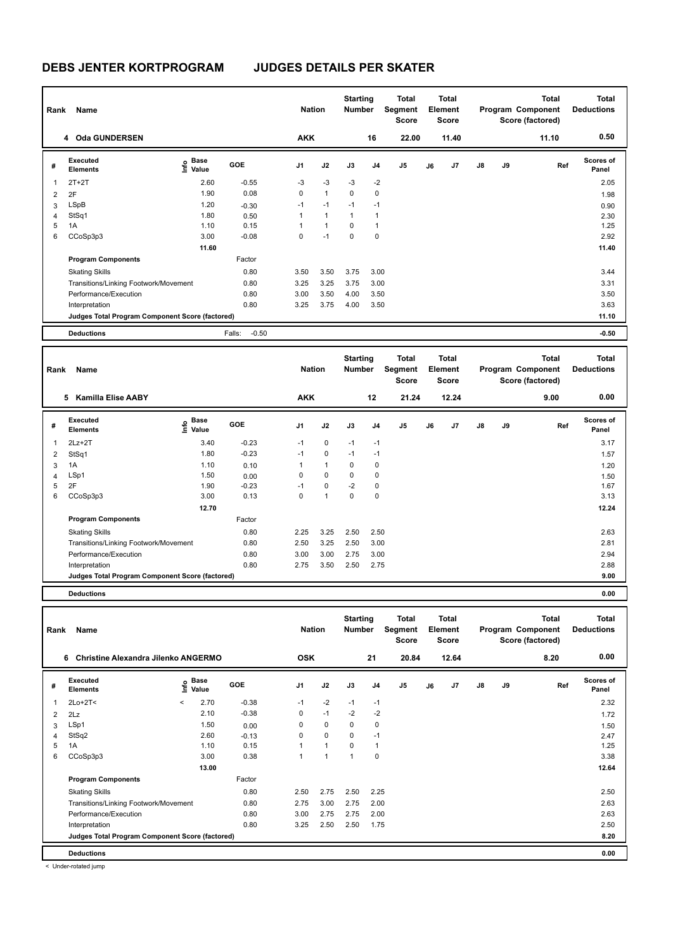| Rank | Name                                            |                              |                   | <b>Nation</b>  |              | <b>Starting</b><br><b>Number</b> |                | Total<br>Segment<br><b>Score</b> |    | Total<br>Element<br><b>Score</b> |               |    | <b>Total</b><br>Program Component<br>Score (factored) | <b>Total</b><br><b>Deductions</b> |
|------|-------------------------------------------------|------------------------------|-------------------|----------------|--------------|----------------------------------|----------------|----------------------------------|----|----------------------------------|---------------|----|-------------------------------------------------------|-----------------------------------|
|      | 4 Oda GUNDERSEN                                 |                              |                   | <b>AKK</b>     |              |                                  | 16             | 22.00                            |    | 11.40                            |               |    | 11.10                                                 | 0.50                              |
| #    | Executed<br><b>Elements</b>                     | <b>Base</b><br>lnfo<br>Value | <b>GOE</b>        | J <sub>1</sub> | J2           | J3                               | J <sub>4</sub> | J <sub>5</sub>                   | J6 | J7                               | $\mathsf{J}8$ | J9 | Ref                                                   | <b>Scores of</b><br>Panel         |
| 1    | $2T+2T$                                         | 2.60                         | $-0.55$           | $-3$           | $-3$         | $-3$                             | $-2$           |                                  |    |                                  |               |    |                                                       | 2.05                              |
| 2    | 2F                                              | 1.90                         | 0.08              | 0              | $\mathbf{1}$ | 0                                | 0              |                                  |    |                                  |               |    |                                                       | 1.98                              |
| 3    | LSpB                                            | 1.20                         | $-0.30$           | $-1$           | $-1$         | $-1$                             | $-1$           |                                  |    |                                  |               |    |                                                       | 0.90                              |
| 4    | StSq1                                           | 1.80                         | 0.50              |                | $\mathbf{1}$ | 1                                | $\overline{1}$ |                                  |    |                                  |               |    |                                                       | 2.30                              |
| 5    | 1A                                              | 1.10                         | 0.15              |                | 1            | 0                                | $\overline{1}$ |                                  |    |                                  |               |    |                                                       | 1.25                              |
| 6    | CCoSp3p3                                        | 3.00                         | $-0.08$           | 0              | $-1$         | 0                                | 0              |                                  |    |                                  |               |    |                                                       | 2.92                              |
|      |                                                 | 11.60                        |                   |                |              |                                  |                |                                  |    |                                  |               |    |                                                       | 11.40                             |
|      | <b>Program Components</b>                       |                              | Factor            |                |              |                                  |                |                                  |    |                                  |               |    |                                                       |                                   |
|      | <b>Skating Skills</b>                           |                              | 0.80              | 3.50           | 3.50         | 3.75                             | 3.00           |                                  |    |                                  |               |    |                                                       | 3.44                              |
|      | Transitions/Linking Footwork/Movement           |                              | 0.80              | 3.25           | 3.25         | 3.75                             | 3.00           |                                  |    |                                  |               |    |                                                       | 3.31                              |
|      | Performance/Execution                           |                              | 0.80              | 3.00           | 3.50         | 4.00                             | 3.50           |                                  |    |                                  |               |    |                                                       | 3.50                              |
|      | Interpretation                                  |                              | 0.80              | 3.25           | 3.75         | 4.00                             | 3.50           |                                  |    |                                  |               |    |                                                       | 3.63                              |
|      | Judges Total Program Component Score (factored) |                              |                   |                |              |                                  |                |                                  |    |                                  |               |    |                                                       | 11.10                             |
|      | <b>Deductions</b>                               |                              | $-0.50$<br>Falls: |                |              |                                  |                |                                  |    |                                  |               |    |                                                       | $-0.50$                           |

| Rank | Name                                            |                              |            | <b>Nation</b> |                | <b>Starting</b><br><b>Number</b> |      | Total<br>Segment<br><b>Score</b> |    | <b>Total</b><br>Element<br><b>Score</b> |               |    | <b>Total</b><br>Program Component<br>Score (factored) | <b>Total</b><br><b>Deductions</b> |
|------|-------------------------------------------------|------------------------------|------------|---------------|----------------|----------------------------------|------|----------------------------------|----|-----------------------------------------|---------------|----|-------------------------------------------------------|-----------------------------------|
|      | <b>Kamilla Elise AABY</b><br>5.                 |                              |            | <b>AKK</b>    |                |                                  | 12   | 21.24                            |    | 12.24                                   |               |    | 9.00                                                  | 0.00                              |
| #    | Executed<br><b>Elements</b>                     | <b>Base</b><br>lnfo<br>Value | <b>GOE</b> | J1            | J2             | J3                               | J4   | J <sub>5</sub>                   | J6 | J7                                      | $\mathsf{J}8$ | J9 | Ref                                                   | Scores of<br>Panel                |
|      | $2Lz+2T$                                        | 3.40                         | $-0.23$    | $-1$          | 0              | $-1$                             | $-1$ |                                  |    |                                         |               |    |                                                       | 3.17                              |
| 2    | StSq1                                           | 1.80                         | $-0.23$    | $-1$          | 0              | $-1$                             | $-1$ |                                  |    |                                         |               |    |                                                       | 1.57                              |
| 3    | 1A                                              | 1.10                         | 0.10       | 1             | $\mathbf{1}$   | 0                                | 0    |                                  |    |                                         |               |    |                                                       | 1.20                              |
| 4    | LSp1                                            | 1.50                         | 0.00       | 0             | 0              | 0                                | 0    |                                  |    |                                         |               |    |                                                       | 1.50                              |
| 5    | 2F                                              | 1.90                         | $-0.23$    | $-1$          | $\mathbf 0$    | $-2$                             | 0    |                                  |    |                                         |               |    |                                                       | 1.67                              |
| 6    | CCoSp3p3                                        | 3.00                         | 0.13       | 0             | $\overline{1}$ | 0                                | 0    |                                  |    |                                         |               |    |                                                       | 3.13                              |
|      |                                                 | 12.70                        |            |               |                |                                  |      |                                  |    |                                         |               |    |                                                       | 12.24                             |
|      | <b>Program Components</b>                       |                              | Factor     |               |                |                                  |      |                                  |    |                                         |               |    |                                                       |                                   |
|      | <b>Skating Skills</b>                           |                              | 0.80       | 2.25          | 3.25           | 2.50                             | 2.50 |                                  |    |                                         |               |    |                                                       | 2.63                              |
|      | Transitions/Linking Footwork/Movement           |                              | 0.80       | 2.50          | 3.25           | 2.50                             | 3.00 |                                  |    |                                         |               |    |                                                       | 2.81                              |
|      | Performance/Execution                           |                              | 0.80       | 3.00          | 3.00           | 2.75                             | 3.00 |                                  |    |                                         |               |    |                                                       | 2.94                              |
|      | Interpretation                                  |                              | 0.80       | 2.75          | 3.50           | 2.50                             | 2.75 |                                  |    |                                         |               |    |                                                       | 2.88                              |
|      | Judges Total Program Component Score (factored) |                              |            |               |                |                                  |      |                                  |    |                                         |               |    |                                                       | 9.00                              |
|      |                                                 |                              |            |               |                |                                  |      |                                  |    |                                         |               |    |                                                       |                                   |

**Deductions 0.00**

| Rank | Name                                            |         | <b>Nation</b> |            | <b>Starting</b><br><b>Number</b> |              | Total<br>Segment<br><b>Score</b> |                | Total<br>Element<br>Score |    |                | <b>Total</b><br>Program Component<br>Score (factored) | <b>Total</b><br><b>Deductions</b> |      |                           |
|------|-------------------------------------------------|---------|---------------|------------|----------------------------------|--------------|----------------------------------|----------------|---------------------------|----|----------------|-------------------------------------------------------|-----------------------------------|------|---------------------------|
|      | Christine Alexandra Jilenko ANGERMO<br>6        |         |               |            | <b>OSK</b>                       |              |                                  | 21             | 20.84                     |    | 12.64          |                                                       |                                   | 8.20 | 0.00                      |
| #    | Executed<br><b>Elements</b>                     | ١nfo    | Base<br>Value | <b>GOE</b> | J <sub>1</sub>                   | J2           | J3                               | J <sub>4</sub> | J <sub>5</sub>            | J6 | J <sub>7</sub> | $\mathsf{J}8$                                         | J9                                | Ref  | <b>Scores of</b><br>Panel |
| 1    | $2Lo+2T<$                                       | $\prec$ | 2.70          | $-0.38$    | $-1$                             | $-2$         | $-1$                             | $-1$           |                           |    |                |                                                       |                                   |      | 2.32                      |
| 2    | 2Lz                                             |         | 2.10          | $-0.38$    | 0                                | $-1$         | $-2$                             | $-2$           |                           |    |                |                                                       |                                   |      | 1.72                      |
| 3    | LSp1                                            |         | 1.50          | 0.00       | 0                                | 0            | 0                                | 0              |                           |    |                |                                                       |                                   |      | 1.50                      |
| 4    | StSq2                                           |         | 2.60          | $-0.13$    | 0                                | $\mathbf 0$  | 0                                | $-1$           |                           |    |                |                                                       |                                   |      | 2.47                      |
| 5    | 1A                                              |         | 1.10          | 0.15       | 1                                | $\mathbf{1}$ | 0                                |                |                           |    |                |                                                       |                                   |      | 1.25                      |
| 6    | CCoSp3p3                                        |         | 3.00          | 0.38       | 1                                | 1            | 1                                | 0              |                           |    |                |                                                       |                                   |      | 3.38                      |
|      |                                                 |         | 13.00         |            |                                  |              |                                  |                |                           |    |                |                                                       |                                   |      | 12.64                     |
|      | <b>Program Components</b>                       |         |               | Factor     |                                  |              |                                  |                |                           |    |                |                                                       |                                   |      |                           |
|      | <b>Skating Skills</b>                           |         |               | 0.80       | 2.50                             | 2.75         | 2.50                             | 2.25           |                           |    |                |                                                       |                                   |      | 2.50                      |
|      | Transitions/Linking Footwork/Movement           |         |               | 0.80       | 2.75                             | 3.00         | 2.75                             | 2.00           |                           |    |                |                                                       |                                   |      | 2.63                      |
|      | Performance/Execution                           |         |               | 0.80       | 3.00                             | 2.75         | 2.75                             | 2.00           |                           |    |                |                                                       |                                   |      | 2.63                      |
|      | Interpretation                                  |         |               | 0.80       | 3.25                             | 2.50         | 2.50                             | 1.75           |                           |    |                |                                                       |                                   |      | 2.50                      |
|      | Judges Total Program Component Score (factored) |         |               |            |                                  |              |                                  |                |                           |    |                |                                                       |                                   |      | 8.20                      |
|      | <b>Deductions</b>                               |         |               |            |                                  |              |                                  |                |                           |    |                |                                                       |                                   |      | 0.00                      |

< Under-rotated jump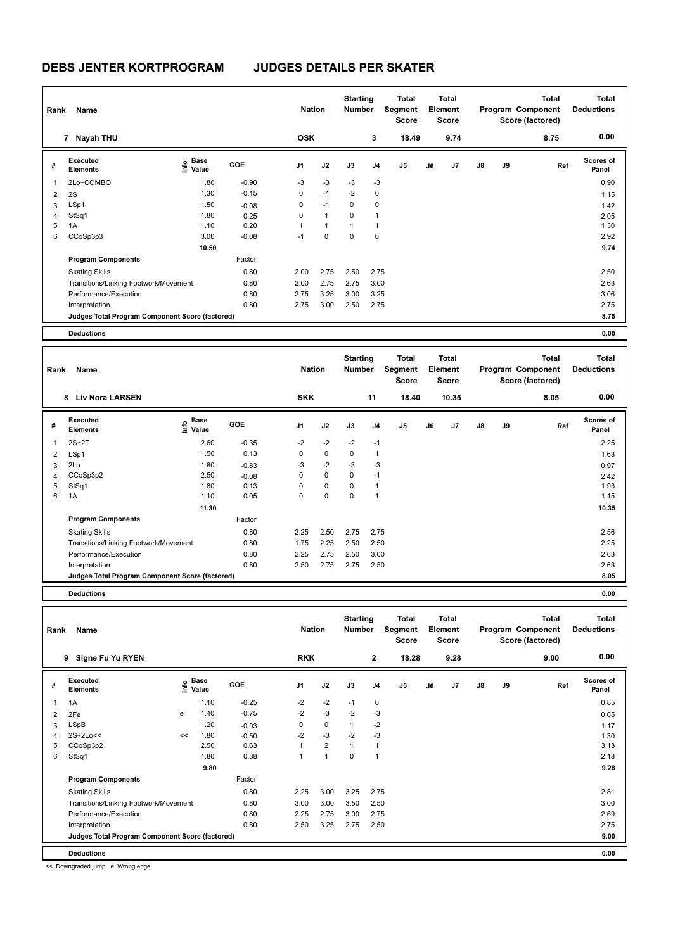| Rank | Name<br>7 Nayah THU                             |                   |            |                | <b>Nation</b> | <b>Starting</b><br><b>Number</b> |                | <b>Total</b><br>Segment<br><b>Score</b> |    | <b>Total</b><br>Element<br><b>Score</b> |               |    | <b>Total</b><br>Program Component<br>Score (factored) | Total<br><b>Deductions</b> |
|------|-------------------------------------------------|-------------------|------------|----------------|---------------|----------------------------------|----------------|-----------------------------------------|----|-----------------------------------------|---------------|----|-------------------------------------------------------|----------------------------|
|      |                                                 |                   |            | <b>OSK</b>     |               |                                  | 3              | 18.49                                   |    | 9.74                                    |               |    | 8.75                                                  | 0.00                       |
| #    | Executed<br><b>Elements</b>                     | e Base<br>E Value | <b>GOE</b> | J <sub>1</sub> | J2            | J3                               | J <sub>4</sub> | J <sub>5</sub>                          | J6 | J <sub>7</sub>                          | $\mathsf{J}8$ | J9 | Ref                                                   | <b>Scores of</b><br>Panel  |
| 1    | 2Lo+COMBO                                       | 1.80              | $-0.90$    | $-3$           | $-3$          | $-3$                             | $-3$           |                                         |    |                                         |               |    |                                                       | 0.90                       |
| 2    | 2S                                              | 1.30              | $-0.15$    | 0              | $-1$          | $-2$                             | 0              |                                         |    |                                         |               |    |                                                       | 1.15                       |
| 3    | LSp1                                            | 1.50              | $-0.08$    | 0              | $-1$          | $\mathbf 0$                      | 0              |                                         |    |                                         |               |    |                                                       | 1.42                       |
| 4    | StSq1                                           | 1.80              | 0.25       | 0              | $\mathbf{1}$  | $\mathbf 0$                      | $\overline{1}$ |                                         |    |                                         |               |    |                                                       | 2.05                       |
| 5    | 1A                                              | 1.10              | 0.20       |                | 1             | 4                                | 1              |                                         |    |                                         |               |    |                                                       | 1.30                       |
| 6    | CCoSp3p3                                        | 3.00              | $-0.08$    | $-1$           | $\Omega$      | $\Omega$                         | 0              |                                         |    |                                         |               |    |                                                       | 2.92                       |
|      |                                                 | 10.50             |            |                |               |                                  |                |                                         |    |                                         |               |    |                                                       | 9.74                       |
|      | <b>Program Components</b>                       |                   | Factor     |                |               |                                  |                |                                         |    |                                         |               |    |                                                       |                            |
|      | <b>Skating Skills</b>                           |                   | 0.80       | 2.00           | 2.75          | 2.50                             | 2.75           |                                         |    |                                         |               |    |                                                       | 2.50                       |
|      | Transitions/Linking Footwork/Movement           |                   | 0.80       | 2.00           | 2.75          | 2.75                             | 3.00           |                                         |    |                                         |               |    |                                                       | 2.63                       |
|      | Performance/Execution                           |                   | 0.80       | 2.75           | 3.25          | 3.00                             | 3.25           |                                         |    |                                         |               |    |                                                       | 3.06                       |
|      | Interpretation                                  |                   | 0.80       | 2.75           | 3.00          | 2.50                             | 2.75           |                                         |    |                                         |               |    |                                                       | 2.75                       |
|      | Judges Total Program Component Score (factored) |                   |            |                |               |                                  |                |                                         |    |                                         |               |    |                                                       | 8.75                       |
|      | <b>Deductions</b>                               |                   |            |                |               |                                  |                |                                         |    |                                         |               |    |                                                       | 0.00                       |

| Rank           | Name                                            |                           |            | <b>Nation</b>  |             | <b>Starting</b><br><b>Number</b> |      | Total<br>Segment<br><b>Score</b> |    | Total<br>Element<br><b>Score</b> |               |    | <b>Total</b><br>Program Component<br>Score (factored) | <b>Total</b><br><b>Deductions</b> |
|----------------|-------------------------------------------------|---------------------------|------------|----------------|-------------|----------------------------------|------|----------------------------------|----|----------------------------------|---------------|----|-------------------------------------------------------|-----------------------------------|
|                | <b>Liv Nora LARSEN</b><br>8                     |                           |            | <b>SKK</b>     |             |                                  | 11   | 18.40                            |    | 10.35                            |               |    | 8.05                                                  | 0.00                              |
| #              | <b>Executed</b><br><b>Elements</b>              | Base<br>e Base<br>⊆ Value | <b>GOE</b> | J <sub>1</sub> | J2          | J3                               | J4   | J <sub>5</sub>                   | J6 | J7                               | $\mathsf{J}8$ | J9 | Ref                                                   | <b>Scores of</b><br>Panel         |
|                | $2S+2T$                                         | 2.60                      | $-0.35$    | $-2$           | $-2$        | $-2$                             | $-1$ |                                  |    |                                  |               |    |                                                       | 2.25                              |
| $\overline{2}$ | LSp1                                            | 1.50                      | 0.13       | 0              | $\mathbf 0$ | 0                                |      |                                  |    |                                  |               |    |                                                       | 1.63                              |
| 3              | 2Lo                                             | 1.80                      | $-0.83$    | $-3$           | $-2$        | $-3$                             | $-3$ |                                  |    |                                  |               |    |                                                       | 0.97                              |
| 4              | CCoSp3p2                                        | 2.50                      | $-0.08$    | 0              | $\mathbf 0$ | $\mathbf 0$                      | $-1$ |                                  |    |                                  |               |    |                                                       | 2.42                              |
| 5              | StSq1                                           | 1.80                      | 0.13       | $\Omega$       | $\mathbf 0$ | $\Omega$                         |      |                                  |    |                                  |               |    |                                                       | 1.93                              |
| 6              | 1A                                              | 1.10                      | 0.05       | 0              | $\mathbf 0$ | $\mathbf 0$                      | 1    |                                  |    |                                  |               |    |                                                       | 1.15                              |
|                |                                                 | 11.30                     |            |                |             |                                  |      |                                  |    |                                  |               |    |                                                       | 10.35                             |
|                | <b>Program Components</b>                       |                           | Factor     |                |             |                                  |      |                                  |    |                                  |               |    |                                                       |                                   |
|                | <b>Skating Skills</b>                           |                           | 0.80       | 2.25           | 2.50        | 2.75                             | 2.75 |                                  |    |                                  |               |    |                                                       | 2.56                              |
|                | Transitions/Linking Footwork/Movement           |                           | 0.80       | 1.75           | 2.25        | 2.50                             | 2.50 |                                  |    |                                  |               |    |                                                       | 2.25                              |
|                | Performance/Execution                           |                           | 0.80       | 2.25           | 2.75        | 2.50                             | 3.00 |                                  |    |                                  |               |    |                                                       | 2.63                              |
|                | Interpretation                                  |                           | 0.80       | 2.50           | 2.75        | 2.75                             | 2.50 |                                  |    |                                  |               |    |                                                       | 2.63                              |
|                | Judges Total Program Component Score (factored) |                           |            |                |             |                                  |      |                                  |    |                                  |               |    |                                                       | 8.05                              |
|                |                                                 |                           |            |                |             |                                  |      |                                  |    |                                  |               |    |                                                       |                                   |

**Deductions 0.00**

| Rank           | Name<br>Signe Fu Yu RYEN<br>9                   |    |                                  |            | <b>Nation</b>  |                | <b>Starting</b><br><b>Number</b> |                | <b>Total</b><br>Segment<br><b>Score</b> |    | <b>Total</b><br>Element<br><b>Score</b> |               |    | <b>Total</b><br>Program Component<br>Score (factored) | <b>Total</b><br><b>Deductions</b> |
|----------------|-------------------------------------------------|----|----------------------------------|------------|----------------|----------------|----------------------------------|----------------|-----------------------------------------|----|-----------------------------------------|---------------|----|-------------------------------------------------------|-----------------------------------|
|                |                                                 |    |                                  |            | <b>RKK</b>     |                |                                  | $\overline{2}$ | 18.28                                   |    | 9.28                                    |               |    | 9.00                                                  | 0.00                              |
| #              | Executed<br><b>Elements</b>                     |    | <b>Base</b><br>o Base<br>⊆ Value | <b>GOE</b> | J <sub>1</sub> | J2             | J3                               | J <sub>4</sub> | J <sub>5</sub>                          | J6 | J7                                      | $\mathsf{J}8$ | J9 | Ref                                                   | <b>Scores of</b><br>Panel         |
| 1              | 1A                                              |    | 1.10                             | $-0.25$    | $-2$           | $-2$           | $-1$                             | 0              |                                         |    |                                         |               |    |                                                       | 0.85                              |
| $\overline{2}$ | 2Fe                                             | e  | 1.40                             | $-0.75$    | $-2$           | $-3$           | $-2$                             | $-3$           |                                         |    |                                         |               |    |                                                       | 0.65                              |
| 3              | LSpB                                            |    | 1.20                             | $-0.03$    | 0              | 0              | $\mathbf{1}$                     | $-2$           |                                         |    |                                         |               |    |                                                       | 1.17                              |
| 4              | $2S+2Lo<<$                                      | << | 1.80                             | $-0.50$    | $-2$           | $-3$           | $-2$                             | $-3$           |                                         |    |                                         |               |    |                                                       | 1.30                              |
| 5              | CCoSp3p2                                        |    | 2.50                             | 0.63       |                | $\overline{2}$ | $\mathbf{1}$                     |                |                                         |    |                                         |               |    |                                                       | 3.13                              |
| 6              | StSq1                                           |    | 1.80                             | 0.38       | 1              | $\mathbf{1}$   | $\mathbf 0$                      |                |                                         |    |                                         |               |    |                                                       | 2.18                              |
|                |                                                 |    | 9.80                             |            |                |                |                                  |                |                                         |    |                                         |               |    |                                                       | 9.28                              |
|                | <b>Program Components</b>                       |    |                                  | Factor     |                |                |                                  |                |                                         |    |                                         |               |    |                                                       |                                   |
|                | <b>Skating Skills</b>                           |    |                                  | 0.80       | 2.25           | 3.00           | 3.25                             | 2.75           |                                         |    |                                         |               |    |                                                       | 2.81                              |
|                | Transitions/Linking Footwork/Movement           |    |                                  | 0.80       | 3.00           | 3.00           | 3.50                             | 2.50           |                                         |    |                                         |               |    |                                                       | 3.00                              |
|                | Performance/Execution                           |    |                                  | 0.80       | 2.25           | 2.75           | 3.00                             | 2.75           |                                         |    |                                         |               |    |                                                       | 2.69                              |
|                | Interpretation                                  |    |                                  | 0.80       | 2.50           | 3.25           | 2.75                             | 2.50           |                                         |    |                                         |               |    |                                                       | 2.75                              |
|                | Judges Total Program Component Score (factored) |    |                                  |            |                |                |                                  |                |                                         |    |                                         |               |    |                                                       | 9.00                              |
|                | <b>Deductions</b>                               |    |                                  |            |                |                |                                  |                |                                         |    |                                         |               |    |                                                       | 0.00                              |

<< Downgraded jump e Wrong edge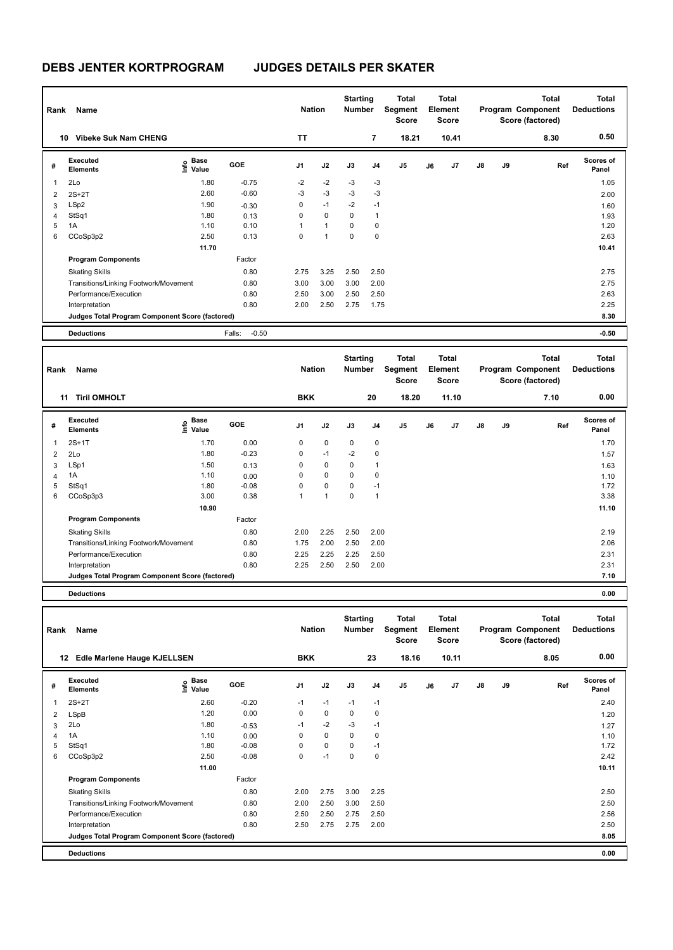| Rank | Name                                            |                   |                   | <b>Nation</b>  |              | <b>Starting</b><br><b>Number</b> |                | Total<br>Segment<br><b>Score</b> |    | Total<br>Element<br><b>Score</b> |               |    | <b>Total</b><br>Program Component<br>Score (factored) | <b>Total</b><br><b>Deductions</b> |
|------|-------------------------------------------------|-------------------|-------------------|----------------|--------------|----------------------------------|----------------|----------------------------------|----|----------------------------------|---------------|----|-------------------------------------------------------|-----------------------------------|
|      | <b>Vibeke Suk Nam CHENG</b><br>10               |                   |                   | <b>TT</b>      |              |                                  | $\overline{7}$ | 18.21                            |    | 10.41                            |               |    | 8.30                                                  | 0.50                              |
| #    | <b>Executed</b><br><b>Elements</b>              | e Base<br>E Value | <b>GOE</b>        | J <sub>1</sub> | J2           | J3                               | J <sub>4</sub> | J5                               | J6 | J7                               | $\mathsf{J}8$ | J9 | Ref                                                   | <b>Scores of</b><br>Panel         |
| 1    | 2Lo                                             | 1.80              | $-0.75$           | $-2$           | $-2$         | $-3$                             | $-3$           |                                  |    |                                  |               |    |                                                       | 1.05                              |
| 2    | $2S+2T$                                         | 2.60              | $-0.60$           | -3             | $-3$         | $-3$                             | $-3$           |                                  |    |                                  |               |    |                                                       | 2.00                              |
| 3    | LSp2                                            | 1.90              | $-0.30$           | 0              | $-1$         | $-2$                             | $-1$           |                                  |    |                                  |               |    |                                                       | 1.60                              |
| 4    | StSq1                                           | 1.80              | 0.13              | 0              | $\mathbf 0$  | 0                                | $\mathbf{1}$   |                                  |    |                                  |               |    |                                                       | 1.93                              |
| 5    | 1A                                              | 1.10              | 0.10              |                | $\mathbf{1}$ | $\mathbf 0$                      | 0              |                                  |    |                                  |               |    |                                                       | 1.20                              |
| 6    | CCoSp3p2                                        | 2.50              | 0.13              | 0              | 1            | 0                                | 0              |                                  |    |                                  |               |    |                                                       | 2.63                              |
|      |                                                 | 11.70             |                   |                |              |                                  |                |                                  |    |                                  |               |    |                                                       | 10.41                             |
|      | <b>Program Components</b>                       |                   | Factor            |                |              |                                  |                |                                  |    |                                  |               |    |                                                       |                                   |
|      | <b>Skating Skills</b>                           |                   | 0.80              | 2.75           | 3.25         | 2.50                             | 2.50           |                                  |    |                                  |               |    |                                                       | 2.75                              |
|      | Transitions/Linking Footwork/Movement           |                   | 0.80              | 3.00           | 3.00         | 3.00                             | 2.00           |                                  |    |                                  |               |    |                                                       | 2.75                              |
|      | Performance/Execution                           |                   | 0.80              | 2.50           | 3.00         | 2.50                             | 2.50           |                                  |    |                                  |               |    |                                                       | 2.63                              |
|      | Interpretation                                  |                   | 0.80              | 2.00           | 2.50         | 2.75                             | 1.75           |                                  |    |                                  |               |    |                                                       | 2.25                              |
|      | Judges Total Program Component Score (factored) |                   |                   |                |              |                                  |                |                                  |    |                                  |               |    |                                                       | 8.30                              |
|      | <b>Deductions</b>                               |                   | $-0.50$<br>Falls: |                |              |                                  |                |                                  |    |                                  |               |    |                                                       | $-0.50$                           |

| Rank           | Name                                            |                             |            | <b>Nation</b>  |              | <b>Starting</b><br><b>Number</b> |      | Total<br>Segment<br><b>Score</b> |    | Total<br>Element<br><b>Score</b> |               |    | <b>Total</b><br>Program Component<br>Score (factored) | <b>Total</b><br><b>Deductions</b> |
|----------------|-------------------------------------------------|-----------------------------|------------|----------------|--------------|----------------------------------|------|----------------------------------|----|----------------------------------|---------------|----|-------------------------------------------------------|-----------------------------------|
|                | <b>Tiril OMHOLT</b><br>11                       |                             |            | <b>BKK</b>     |              |                                  | 20   | 18.20                            |    | 11.10                            |               |    | 7.10                                                  | 0.00                              |
| #              | <b>Executed</b><br><b>Elements</b>              | Base<br>$\frac{6}{5}$ Value | <b>GOE</b> | J <sub>1</sub> | J2           | J3                               | J4   | J <sub>5</sub>                   | J6 | J7                               | $\mathsf{J}8$ | J9 | Ref                                                   | <b>Scores of</b><br>Panel         |
|                | $2S+1T$                                         | 1.70                        | 0.00       | 0              | $\mathbf 0$  | $\mathbf 0$                      | 0    |                                  |    |                                  |               |    |                                                       | 1.70                              |
| $\overline{2}$ | 2Lo                                             | 1.80                        | $-0.23$    | 0              | $-1$         | $-2$                             | 0    |                                  |    |                                  |               |    |                                                       | 1.57                              |
| 3              | LSp1                                            | 1.50                        | 0.13       | 0              | $\mathbf 0$  | 0                                |      |                                  |    |                                  |               |    |                                                       | 1.63                              |
| $\overline{4}$ | 1A                                              | 1.10                        | 0.00       | $\Omega$       | $\mathbf 0$  | 0                                | 0    |                                  |    |                                  |               |    |                                                       | 1.10                              |
| 5              | StSq1                                           | 1.80                        | $-0.08$    | $\Omega$       | $\mathbf 0$  | $\mathbf 0$                      | $-1$ |                                  |    |                                  |               |    |                                                       | 1.72                              |
| 6              | CCoSp3p3                                        | 3.00                        | 0.38       |                | $\mathbf{1}$ | 0                                | 1    |                                  |    |                                  |               |    |                                                       | 3.38                              |
|                |                                                 | 10.90                       |            |                |              |                                  |      |                                  |    |                                  |               |    |                                                       | 11.10                             |
|                | <b>Program Components</b>                       |                             | Factor     |                |              |                                  |      |                                  |    |                                  |               |    |                                                       |                                   |
|                | <b>Skating Skills</b>                           |                             | 0.80       | 2.00           | 2.25         | 2.50                             | 2.00 |                                  |    |                                  |               |    |                                                       | 2.19                              |
|                | Transitions/Linking Footwork/Movement           |                             | 0.80       | 1.75           | 2.00         | 2.50                             | 2.00 |                                  |    |                                  |               |    |                                                       | 2.06                              |
|                | Performance/Execution                           |                             | 0.80       | 2.25           | 2.25         | 2.25                             | 2.50 |                                  |    |                                  |               |    |                                                       | 2.31                              |
|                | Interpretation                                  |                             | 0.80       | 2.25           | 2.50         | 2.50                             | 2.00 |                                  |    |                                  |               |    |                                                       | 2.31                              |
|                | Judges Total Program Component Score (factored) |                             |            |                |              |                                  |      |                                  |    |                                  |               |    |                                                       | 7.10                              |
|                |                                                 |                             |            |                |              |                                  |      |                                  |    |                                  |               |    |                                                       |                                   |

**Deductions 0.00**

| Rank | Name                                            |                                           | <b>Nation</b> |                | <b>Starting</b><br><b>Number</b> |          | <b>Total</b><br>Segment<br><b>Score</b> |                | <b>Total</b><br>Element<br><b>Score</b> |       |               | <b>Total</b><br>Program Component<br>Score (factored) | <b>Total</b><br><b>Deductions</b> |                           |
|------|-------------------------------------------------|-------------------------------------------|---------------|----------------|----------------------------------|----------|-----------------------------------------|----------------|-----------------------------------------|-------|---------------|-------------------------------------------------------|-----------------------------------|---------------------------|
| 12   | Edle Marlene Hauge KJELLSEN                     |                                           |               | <b>BKK</b>     |                                  |          | 23                                      | 18.16          |                                         | 10.11 |               |                                                       | 8.05                              | 0.00                      |
| #    | Executed<br><b>Elements</b>                     | $\frac{e}{E}$ Base<br>$\frac{E}{E}$ Value | <b>GOE</b>    | J <sub>1</sub> | J2                               | J3       | J4                                      | J <sub>5</sub> | J6                                      | J7    | $\mathsf{J}8$ | J9                                                    | Ref                               | <b>Scores of</b><br>Panel |
| 1    | $2S+2T$                                         | 2.60                                      | $-0.20$       | -1             | $-1$                             | $-1$     | $-1$                                    |                |                                         |       |               |                                                       |                                   | 2.40                      |
| 2    | LSpB                                            | 1.20                                      | 0.00          | 0              | $\mathbf 0$                      | 0        | 0                                       |                |                                         |       |               |                                                       |                                   | 1.20                      |
| 3    | 2Lo                                             | 1.80                                      | $-0.53$       | $-1$           | $-2$                             | $-3$     | $-1$                                    |                |                                         |       |               |                                                       |                                   | 1.27                      |
| 4    | 1A                                              | 1.10                                      | 0.00          | 0              | 0                                | 0        | 0                                       |                |                                         |       |               |                                                       |                                   | 1.10                      |
| 5    | StSq1                                           | 1.80                                      | $-0.08$       | 0              | $\mathbf 0$                      | $\Omega$ | $-1$                                    |                |                                         |       |               |                                                       |                                   | 1.72                      |
| 6    | CCoSp3p2                                        | 2.50                                      | $-0.08$       | 0              | $-1$                             | 0        | 0                                       |                |                                         |       |               |                                                       |                                   | 2.42                      |
|      |                                                 | 11.00                                     |               |                |                                  |          |                                         |                |                                         |       |               |                                                       |                                   | 10.11                     |
|      | <b>Program Components</b>                       |                                           | Factor        |                |                                  |          |                                         |                |                                         |       |               |                                                       |                                   |                           |
|      | <b>Skating Skills</b>                           |                                           | 0.80          | 2.00           | 2.75                             | 3.00     | 2.25                                    |                |                                         |       |               |                                                       |                                   | 2.50                      |
|      | Transitions/Linking Footwork/Movement           |                                           | 0.80          | 2.00           | 2.50                             | 3.00     | 2.50                                    |                |                                         |       |               |                                                       |                                   | 2.50                      |
|      | Performance/Execution                           |                                           | 0.80          | 2.50           | 2.50                             | 2.75     | 2.50                                    |                |                                         |       |               |                                                       |                                   | 2.56                      |
|      | Interpretation                                  |                                           | 0.80          | 2.50           | 2.75                             | 2.75     | 2.00                                    |                |                                         |       |               |                                                       |                                   | 2.50                      |
|      | Judges Total Program Component Score (factored) |                                           |               |                |                                  |          |                                         |                |                                         |       |               |                                                       |                                   | 8.05                      |
|      | <b>Deductions</b>                               |                                           |               |                |                                  |          |                                         |                |                                         |       |               |                                                       |                                   | 0.00                      |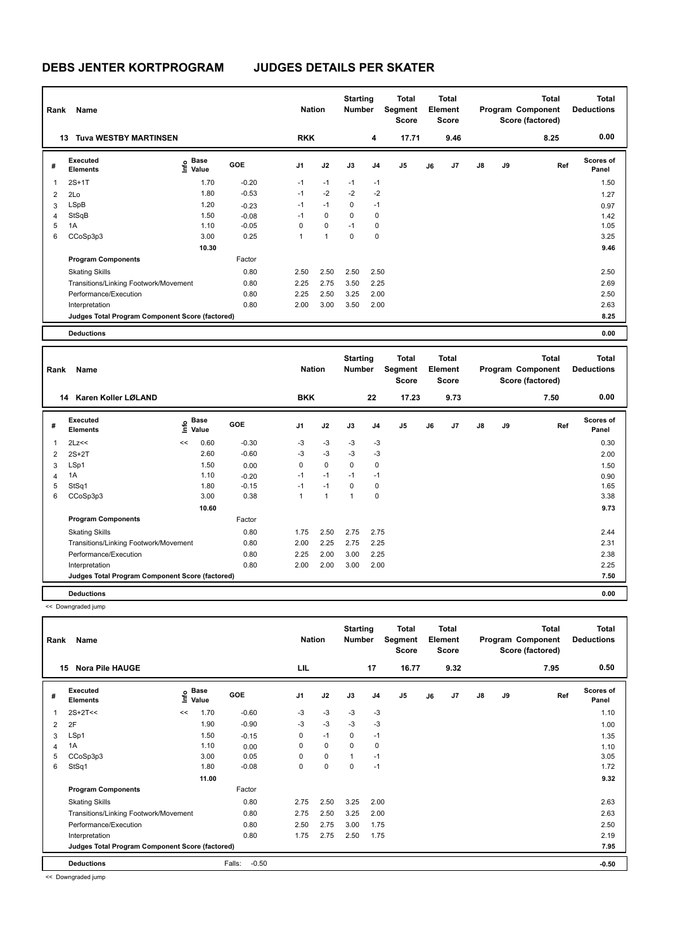# **DEBS JENTER KORTPROGRAM JUDGES DETAILS PER SKATER**

| Rank | Name                                            | <b>Nation</b>                       |            | <b>Starting</b><br><b>Number</b> |      | <b>Total</b><br>Segment<br><b>Score</b> |                | Total<br>Element<br><b>Score</b> |    |                | <b>Total</b><br>Program Component<br>Score (factored) | <b>Total</b><br><b>Deductions</b> |      |                           |
|------|-------------------------------------------------|-------------------------------------|------------|----------------------------------|------|-----------------------------------------|----------------|----------------------------------|----|----------------|-------------------------------------------------------|-----------------------------------|------|---------------------------|
|      | <b>Tuva WESTBY MARTINSEN</b><br>13              |                                     |            | <b>RKK</b>                       |      |                                         | 4              | 17.71                            |    | 9.46           |                                                       |                                   | 8.25 | 0.00                      |
| #    | Executed<br><b>Elements</b>                     | $\epsilon$ Base<br>$\epsilon$ Value | <b>GOE</b> | J <sub>1</sub>                   | J2   | J3                                      | J <sub>4</sub> | J <sub>5</sub>                   | J6 | J <sub>7</sub> | $\mathsf{J}8$                                         | J9                                | Ref  | <b>Scores of</b><br>Panel |
| 1    | $2S+1T$                                         | 1.70                                | $-0.20$    | $-1$                             | $-1$ | $-1$                                    | $-1$           |                                  |    |                |                                                       |                                   |      | 1.50                      |
| 2    | 2Lo                                             | 1.80                                | $-0.53$    | $-1$                             | $-2$ | $-2$                                    | $-2$           |                                  |    |                |                                                       |                                   |      | 1.27                      |
| 3    | LSpB                                            | 1.20                                | $-0.23$    | $-1$                             | $-1$ | $\Omega$                                | $-1$           |                                  |    |                |                                                       |                                   |      | 0.97                      |
| 4    | StSqB                                           | 1.50                                | $-0.08$    | $-1$                             | 0    | $\Omega$                                | 0              |                                  |    |                |                                                       |                                   |      | 1.42                      |
| 5    | 1A                                              | 1.10                                | $-0.05$    | 0                                | 0    | $-1$                                    | 0              |                                  |    |                |                                                       |                                   |      | 1.05                      |
| 6    | CCoSp3p3                                        | 3.00                                | 0.25       | 4                                | 1    | $\Omega$                                | 0              |                                  |    |                |                                                       |                                   |      | 3.25                      |
|      |                                                 | 10.30                               |            |                                  |      |                                         |                |                                  |    |                |                                                       |                                   |      | 9.46                      |
|      | <b>Program Components</b>                       |                                     | Factor     |                                  |      |                                         |                |                                  |    |                |                                                       |                                   |      |                           |
|      | <b>Skating Skills</b>                           |                                     | 0.80       | 2.50                             | 2.50 | 2.50                                    | 2.50           |                                  |    |                |                                                       |                                   |      | 2.50                      |
|      | Transitions/Linking Footwork/Movement           |                                     | 0.80       | 2.25                             | 2.75 | 3.50                                    | 2.25           |                                  |    |                |                                                       |                                   |      | 2.69                      |
|      | Performance/Execution                           |                                     | 0.80       | 2.25                             | 2.50 | 3.25                                    | 2.00           |                                  |    |                |                                                       |                                   |      | 2.50                      |
|      | Interpretation                                  |                                     | 0.80       | 2.00                             | 3.00 | 3.50                                    | 2.00           |                                  |    |                |                                                       |                                   |      | 2.63                      |
|      | Judges Total Program Component Score (factored) |                                     |            |                                  |      |                                         |                |                                  |    |                |                                                       |                                   |      | 8.25                      |
|      | <b>Deductions</b>                               |                                     |            |                                  |      |                                         |                |                                  |    |                |                                                       |                                   |      | 0.00                      |

| Rank                    | Name                                            |    |                                  |            | <b>Nation</b>  |              | <b>Starting</b><br><b>Number</b> |                | <b>Total</b><br>Segment<br><b>Score</b> |    | <b>Total</b><br>Element<br><b>Score</b> |               |    | <b>Total</b><br>Program Component<br>Score (factored) | Total<br><b>Deductions</b> |
|-------------------------|-------------------------------------------------|----|----------------------------------|------------|----------------|--------------|----------------------------------|----------------|-----------------------------------------|----|-----------------------------------------|---------------|----|-------------------------------------------------------|----------------------------|
|                         | Karen Koller LØLAND<br>14                       |    |                                  |            | <b>BKK</b>     |              |                                  | 22             | 17.23                                   |    | 9.73                                    |               |    | 7.50                                                  | 0.00                       |
| #                       | Executed<br><b>Elements</b>                     |    | <b>Base</b><br>e Base<br>⊆ Value | <b>GOE</b> | J <sub>1</sub> | J2           | J3                               | J <sub>4</sub> | J <sub>5</sub>                          | J6 | J7                                      | $\mathsf{J}8$ | J9 | Ref                                                   | Scores of<br>Panel         |
| $\overline{\mathbf{1}}$ | 2Lz<<                                           | << | 0.60                             | $-0.30$    | $-3$           | $-3$         | $-3$                             | $-3$           |                                         |    |                                         |               |    |                                                       | 0.30                       |
| 2                       | $2S+2T$                                         |    | 2.60                             | $-0.60$    | $-3$           | $-3$         | $-3$                             | $-3$           |                                         |    |                                         |               |    |                                                       | 2.00                       |
| 3                       | LSp1                                            |    | 1.50                             | 0.00       | 0              | $\mathbf 0$  | 0                                | 0              |                                         |    |                                         |               |    |                                                       | 1.50                       |
| 4                       | 1A                                              |    | 1.10                             | $-0.20$    | $-1$           | $-1$         | $-1$                             | $-1$           |                                         |    |                                         |               |    |                                                       | 0.90                       |
| 5                       | StSq1                                           |    | 1.80                             | $-0.15$    | $-1$           | $-1$         | $\Omega$                         | $\Omega$       |                                         |    |                                         |               |    |                                                       | 1.65                       |
| 6                       | CCoSp3p3                                        |    | 3.00                             | 0.38       | $\mathbf{1}$   | $\mathbf{1}$ | $\mathbf{1}$                     | 0              |                                         |    |                                         |               |    |                                                       | 3.38                       |
|                         |                                                 |    | 10.60                            |            |                |              |                                  |                |                                         |    |                                         |               |    |                                                       | 9.73                       |
|                         | <b>Program Components</b>                       |    |                                  | Factor     |                |              |                                  |                |                                         |    |                                         |               |    |                                                       |                            |
|                         | <b>Skating Skills</b>                           |    |                                  | 0.80       | 1.75           | 2.50         | 2.75                             | 2.75           |                                         |    |                                         |               |    |                                                       | 2.44                       |
|                         | Transitions/Linking Footwork/Movement           |    |                                  | 0.80       | 2.00           | 2.25         | 2.75                             | 2.25           |                                         |    |                                         |               |    |                                                       | 2.31                       |
|                         | Performance/Execution                           |    |                                  | 0.80       | 2.25           | 2.00         | 3.00                             | 2.25           |                                         |    |                                         |               |    |                                                       | 2.38                       |
|                         | Interpretation                                  |    |                                  | 0.80       | 2.00           | 2.00         | 3.00                             | 2.00           |                                         |    |                                         |               |    |                                                       | 2.25                       |
|                         | Judges Total Program Component Score (factored) |    |                                  |            |                |              |                                  |                |                                         |    |                                         |               |    |                                                       | 7.50                       |
|                         | <b>Deductions</b>                               |    |                                  |            |                |              |                                  |                |                                         |    |                                         |               |    |                                                       | 0.00                       |

<< Downgraded jump

| Rank           | Name                                            |      |                      |                   | <b>Nation</b>  |           | <b>Starting</b><br><b>Number</b> |                | Total<br>Segment<br><b>Score</b> |    | Total<br>Element<br><b>Score</b> |               |    | <b>Total</b><br>Program Component<br>Score (factored) | <b>Total</b><br><b>Deductions</b> |
|----------------|-------------------------------------------------|------|----------------------|-------------------|----------------|-----------|----------------------------------|----------------|----------------------------------|----|----------------------------------|---------------|----|-------------------------------------------------------|-----------------------------------|
| 15             | <b>Nora Pile HAUGE</b>                          |      |                      |                   | LIL            |           |                                  | 17             | 16.77                            |    | 9.32                             |               |    | 7.95                                                  | 0.50                              |
| #              | <b>Executed</b><br><b>Elements</b>              | lnfo | <b>Base</b><br>Value | <b>GOE</b>        | J <sub>1</sub> | J2        | J3                               | J <sub>4</sub> | J5                               | J6 | J7                               | $\mathsf{J}8$ | J9 | Ref                                                   | Scores of<br>Panel                |
|                | $2S+2T<<$                                       | <<   | 1.70                 | $-0.60$           | -3             | $-3$      | -3                               | -3             |                                  |    |                                  |               |    |                                                       | 1.10                              |
| $\overline{2}$ | 2F                                              |      | 1.90                 | $-0.90$           | -3             | $-3$      | $-3$                             | $-3$           |                                  |    |                                  |               |    |                                                       | 1.00                              |
| 3              | LSp1                                            |      | 1.50                 | $-0.15$           | 0              | $-1$      | 0                                | $-1$           |                                  |    |                                  |               |    |                                                       | 1.35                              |
| 4              | 1A                                              |      | 1.10                 | 0.00              | 0              | 0         | 0                                | 0              |                                  |    |                                  |               |    |                                                       | 1.10                              |
| 5              | CCoSp3p3                                        |      | 3.00                 | 0.05              | 0              | 0         |                                  | $-1$           |                                  |    |                                  |               |    |                                                       | 3.05                              |
| 6              | StSq1                                           |      | 1.80                 | $-0.08$           | 0              | $\pmb{0}$ | 0                                | $-1$           |                                  |    |                                  |               |    |                                                       | 1.72                              |
|                |                                                 |      | 11.00                |                   |                |           |                                  |                |                                  |    |                                  |               |    |                                                       | 9.32                              |
|                | <b>Program Components</b>                       |      |                      | Factor            |                |           |                                  |                |                                  |    |                                  |               |    |                                                       |                                   |
|                | <b>Skating Skills</b>                           |      |                      | 0.80              | 2.75           | 2.50      | 3.25                             | 2.00           |                                  |    |                                  |               |    |                                                       | 2.63                              |
|                | Transitions/Linking Footwork/Movement           |      |                      | 0.80              | 2.75           | 2.50      | 3.25                             | 2.00           |                                  |    |                                  |               |    |                                                       | 2.63                              |
|                | Performance/Execution                           |      |                      | 0.80              | 2.50           | 2.75      | 3.00                             | 1.75           |                                  |    |                                  |               |    |                                                       | 2.50                              |
|                | Interpretation                                  |      |                      | 0.80              | 1.75           | 2.75      | 2.50                             | 1.75           |                                  |    |                                  |               |    |                                                       | 2.19                              |
|                | Judges Total Program Component Score (factored) |      |                      |                   |                |           |                                  |                |                                  |    |                                  |               |    |                                                       | 7.95                              |
|                | <b>Deductions</b>                               |      |                      | $-0.50$<br>Falls: |                |           |                                  |                |                                  |    |                                  |               |    |                                                       | $-0.50$                           |

<< Downgraded jump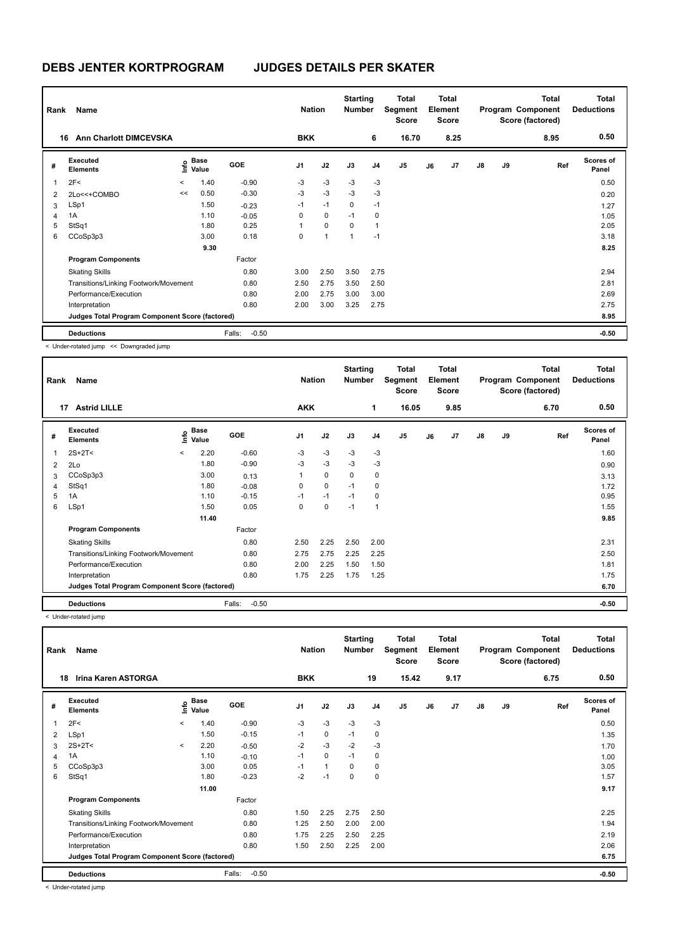| Rank           | Name                                            |         |                                    |                   | <b>Nation</b>  |             | <b>Starting</b><br><b>Number</b> |                | Total<br>Segment<br><b>Score</b> |    | Total<br>Element<br><b>Score</b> |               |    | <b>Total</b><br>Program Component<br>Score (factored) | <b>Total</b><br><b>Deductions</b> |
|----------------|-------------------------------------------------|---------|------------------------------------|-------------------|----------------|-------------|----------------------------------|----------------|----------------------------------|----|----------------------------------|---------------|----|-------------------------------------------------------|-----------------------------------|
| 16             | <b>Ann Charlott DIMCEVSKA</b>                   |         |                                    |                   | <b>BKK</b>     |             |                                  | 6              | 16.70                            |    | 8.25                             |               |    | 8.95                                                  | 0.50                              |
| #              | Executed<br><b>Elements</b>                     |         | <b>Base</b><br>$\frac{6}{5}$ Value | GOE               | J <sub>1</sub> | J2          | J3                               | J <sub>4</sub> | J <sub>5</sub>                   | J6 | J7                               | $\mathsf{J}8$ | J9 | Ref                                                   | <b>Scores of</b><br>Panel         |
| 1              | 2F<                                             | $\prec$ | 1.40                               | $-0.90$           | -3             | $-3$        | $-3$                             | $-3$           |                                  |    |                                  |               |    |                                                       | 0.50                              |
| $\overline{2}$ | 2Lo<<+COMBO                                     | <<      | 0.50                               | $-0.30$           | $-3$           | $-3$        | $-3$                             | $-3$           |                                  |    |                                  |               |    |                                                       | 0.20                              |
| 3              | LSp1                                            |         | 1.50                               | $-0.23$           | $-1$           | $-1$        | $\mathbf 0$                      | $-1$           |                                  |    |                                  |               |    |                                                       | 1.27                              |
| 4              | 1A                                              |         | 1.10                               | $-0.05$           | 0              | 0           | $-1$                             | 0              |                                  |    |                                  |               |    |                                                       | 1.05                              |
| 5              | StSq1                                           |         | 1.80                               | 0.25              | 1              | $\mathbf 0$ | 0                                | $\overline{1}$ |                                  |    |                                  |               |    |                                                       | 2.05                              |
| 6              | CCoSp3p3                                        |         | 3.00                               | 0.18              | 0              | 1           | 1                                | $-1$           |                                  |    |                                  |               |    |                                                       | 3.18                              |
|                |                                                 |         | 9.30                               |                   |                |             |                                  |                |                                  |    |                                  |               |    |                                                       | 8.25                              |
|                | <b>Program Components</b>                       |         |                                    | Factor            |                |             |                                  |                |                                  |    |                                  |               |    |                                                       |                                   |
|                | <b>Skating Skills</b>                           |         |                                    | 0.80              | 3.00           | 2.50        | 3.50                             | 2.75           |                                  |    |                                  |               |    |                                                       | 2.94                              |
|                | Transitions/Linking Footwork/Movement           |         |                                    | 0.80              | 2.50           | 2.75        | 3.50                             | 2.50           |                                  |    |                                  |               |    |                                                       | 2.81                              |
|                | Performance/Execution                           |         |                                    | 0.80              | 2.00           | 2.75        | 3.00                             | 3.00           |                                  |    |                                  |               |    |                                                       | 2.69                              |
|                | Interpretation                                  |         |                                    | 0.80              | 2.00           | 3.00        | 3.25                             | 2.75           |                                  |    |                                  |               |    |                                                       | 2.75                              |
|                | Judges Total Program Component Score (factored) |         |                                    |                   |                |             |                                  |                |                                  |    |                                  |               |    |                                                       | 8.95                              |
|                | <b>Deductions</b>                               |         |                                    | $-0.50$<br>Falls: |                |             |                                  |                |                                  |    |                                  |               |    |                                                       | $-0.50$                           |

< Under-rotated jump << Downgraded jump

| Rank           | Name                                            |         |                      |                   | <b>Nation</b>  |             | <b>Starting</b><br><b>Number</b> |                | Total<br>Segment<br><b>Score</b> |    | <b>Total</b><br>Element<br><b>Score</b> |               |    | <b>Total</b><br>Program Component<br>Score (factored) | <b>Total</b><br><b>Deductions</b> |
|----------------|-------------------------------------------------|---------|----------------------|-------------------|----------------|-------------|----------------------------------|----------------|----------------------------------|----|-----------------------------------------|---------------|----|-------------------------------------------------------|-----------------------------------|
|                | <b>Astrid LILLE</b><br>17                       |         |                      |                   | <b>AKK</b>     |             |                                  | 1              | 16.05                            |    | 9.85                                    |               |    | 6.70                                                  | 0.50                              |
| #              | Executed<br><b>Elements</b>                     | ۴٥      | <b>Base</b><br>Value | <b>GOE</b>        | J <sub>1</sub> | J2          | J3                               | J <sub>4</sub> | J <sub>5</sub>                   | J6 | J <sub>7</sub>                          | $\mathsf{J}8$ | J9 | Ref                                                   | <b>Scores of</b><br>Panel         |
|                | $2S+2T2$                                        | $\prec$ | 2.20                 | $-0.60$           | $-3$           | $-3$        | $-3$                             | $-3$           |                                  |    |                                         |               |    |                                                       | 1.60                              |
| $\overline{2}$ | 2Lo                                             |         | 1.80                 | $-0.90$           | -3             | $-3$        | -3                               | -3             |                                  |    |                                         |               |    |                                                       | 0.90                              |
| 3              | CCoSp3p3                                        |         | 3.00                 | 0.13              | 1              | $\mathbf 0$ | 0                                | 0              |                                  |    |                                         |               |    |                                                       | 3.13                              |
| 4              | StSq1                                           |         | 1.80                 | $-0.08$           | 0              | $\mathbf 0$ | $-1$                             | 0              |                                  |    |                                         |               |    |                                                       | 1.72                              |
| 5              | 1A                                              |         | 1.10                 | $-0.15$           | $-1$           | $-1$        | $-1$                             | 0              |                                  |    |                                         |               |    |                                                       | 0.95                              |
| 6              | LSp1                                            |         | 1.50                 | 0.05              | 0              | 0           | $-1$                             | $\overline{1}$ |                                  |    |                                         |               |    |                                                       | 1.55                              |
|                |                                                 |         | 11.40                |                   |                |             |                                  |                |                                  |    |                                         |               |    |                                                       | 9.85                              |
|                | <b>Program Components</b>                       |         |                      | Factor            |                |             |                                  |                |                                  |    |                                         |               |    |                                                       |                                   |
|                | <b>Skating Skills</b>                           |         |                      | 0.80              | 2.50           | 2.25        | 2.50                             | 2.00           |                                  |    |                                         |               |    |                                                       | 2.31                              |
|                | Transitions/Linking Footwork/Movement           |         |                      | 0.80              | 2.75           | 2.75        | 2.25                             | 2.25           |                                  |    |                                         |               |    |                                                       | 2.50                              |
|                | Performance/Execution                           |         |                      | 0.80              | 2.00           | 2.25        | 1.50                             | 1.50           |                                  |    |                                         |               |    |                                                       | 1.81                              |
|                | Interpretation                                  |         |                      | 0.80              | 1.75           | 2.25        | 1.75                             | 1.25           |                                  |    |                                         |               |    |                                                       | 1.75                              |
|                | Judges Total Program Component Score (factored) |         |                      |                   |                |             |                                  |                |                                  |    |                                         |               |    |                                                       | 6.70                              |
|                | <b>Deductions</b>                               |         |                      | Falls:<br>$-0.50$ |                |             |                                  |                |                                  |    |                                         |               |    |                                                       | $-0.50$                           |

< Under-rotated jump

|   | Name<br>Rank<br>Irina Karen ASTORGA<br>18       |              |               |                   |                | <b>Nation</b> | <b>Starting</b><br><b>Number</b> |                | Total<br>Segment<br><b>Score</b> |    | Total<br>Element<br><b>Score</b> |               |    | <b>Total</b><br>Program Component<br>Score (factored) | <b>Total</b><br><b>Deductions</b> |
|---|-------------------------------------------------|--------------|---------------|-------------------|----------------|---------------|----------------------------------|----------------|----------------------------------|----|----------------------------------|---------------|----|-------------------------------------------------------|-----------------------------------|
|   |                                                 |              |               |                   | <b>BKK</b>     |               |                                  | 19             | 15.42                            |    | 9.17                             |               |    | 6.75                                                  | 0.50                              |
| # | Executed<br><b>Elements</b>                     | lnfo         | Base<br>Value | <b>GOE</b>        | J <sub>1</sub> | J2            | J3                               | J <sub>4</sub> | J <sub>5</sub>                   | J6 | J7                               | $\mathsf{J}8$ | J9 | Ref                                                   | Scores of<br>Panel                |
|   | 2F<                                             | $\checkmark$ | 1.40          | $-0.90$           | $-3$           | $-3$          | $-3$                             | $-3$           |                                  |    |                                  |               |    |                                                       | 0.50                              |
| 2 | LSp1                                            |              | 1.50          | $-0.15$           | $-1$           | 0             | $-1$                             | 0              |                                  |    |                                  |               |    |                                                       | 1.35                              |
| 3 | $2S+2T<$                                        | $\prec$      | 2.20          | $-0.50$           | $-2$           | $-3$          | $-2$                             | $-3$           |                                  |    |                                  |               |    |                                                       | 1.70                              |
| 4 | 1A                                              |              | 1.10          | $-0.10$           | $-1$           | $\mathbf 0$   | $-1$                             | 0              |                                  |    |                                  |               |    |                                                       | 1.00                              |
| 5 | CCoSp3p3                                        |              | 3.00          | 0.05              | $-1$           | $\mathbf{1}$  | $\Omega$                         | 0              |                                  |    |                                  |               |    |                                                       | 3.05                              |
| 6 | StSq1                                           |              | 1.80          | $-0.23$           | $-2$           | $-1$          | 0                                | 0              |                                  |    |                                  |               |    |                                                       | 1.57                              |
|   |                                                 |              | 11.00         |                   |                |               |                                  |                |                                  |    |                                  |               |    |                                                       | 9.17                              |
|   | <b>Program Components</b>                       |              |               | Factor            |                |               |                                  |                |                                  |    |                                  |               |    |                                                       |                                   |
|   | <b>Skating Skills</b>                           |              |               | 0.80              | 1.50           | 2.25          | 2.75                             | 2.50           |                                  |    |                                  |               |    |                                                       | 2.25                              |
|   | Transitions/Linking Footwork/Movement           |              |               | 0.80              | 1.25           | 2.50          | 2.00                             | 2.00           |                                  |    |                                  |               |    |                                                       | 1.94                              |
|   | Performance/Execution                           |              |               | 0.80              | 1.75           | 2.25          | 2.50                             | 2.25           |                                  |    |                                  |               |    |                                                       | 2.19                              |
|   | Interpretation                                  |              |               | 0.80              | 1.50           | 2.50          | 2.25                             | 2.00           |                                  |    |                                  |               |    |                                                       | 2.06                              |
|   | Judges Total Program Component Score (factored) |              |               |                   |                |               |                                  |                |                                  |    |                                  |               |    |                                                       | 6.75                              |
|   | <b>Deductions</b>                               |              |               | $-0.50$<br>Falls: |                |               |                                  |                |                                  |    |                                  |               |    |                                                       | $-0.50$                           |

< Under-rotated jump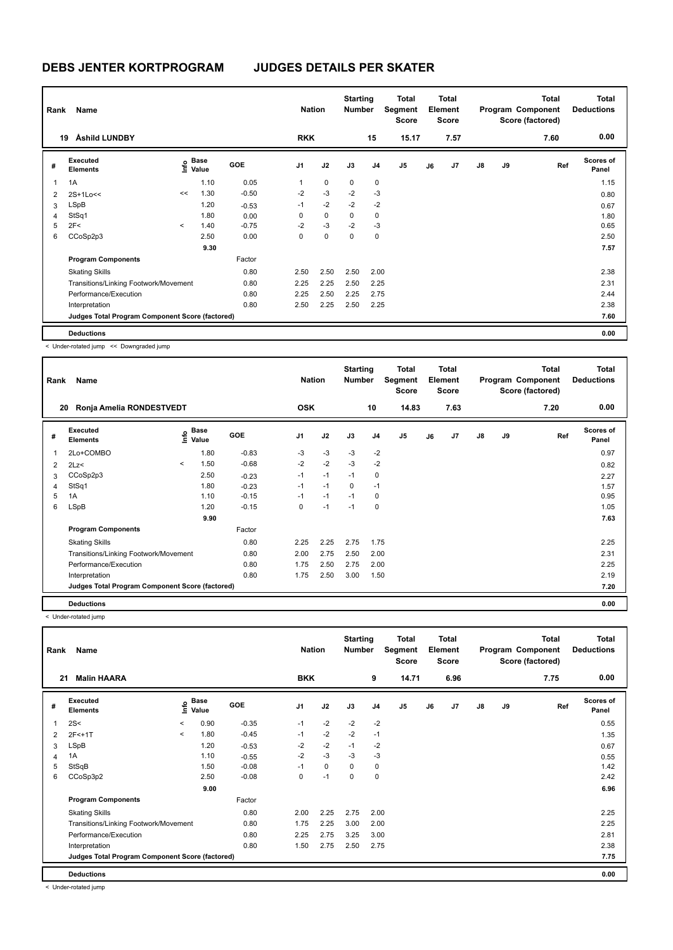|                         | Name<br>Rank<br>Åshild LUNDBY<br>19             |         |                                             |            | <b>Nation</b>  |             | <b>Starting</b><br><b>Number</b> |                | Total<br>Segment<br><b>Score</b> |    | Total<br>Element<br><b>Score</b> |               |    | Total<br>Program Component<br>Score (factored) | Total<br><b>Deductions</b> |
|-------------------------|-------------------------------------------------|---------|---------------------------------------------|------------|----------------|-------------|----------------------------------|----------------|----------------------------------|----|----------------------------------|---------------|----|------------------------------------------------|----------------------------|
|                         |                                                 |         |                                             |            | <b>RKK</b>     |             |                                  | 15             | 15.17                            |    | 7.57                             |               |    | 7.60                                           | 0.00                       |
| #                       | Executed<br><b>Elements</b>                     |         | <b>Base</b><br>e <sup>Base</sup><br>⊆ Value | <b>GOE</b> | J <sub>1</sub> | J2          | J3                               | J <sub>4</sub> | J <sub>5</sub>                   | J6 | J <sub>7</sub>                   | $\mathsf{J}8$ | J9 | Ref                                            | <b>Scores of</b><br>Panel  |
| $\overline{\mathbf{1}}$ | 1A                                              |         | 1.10                                        | 0.05       | 1              | $\mathbf 0$ | 0                                | $\mathbf 0$    |                                  |    |                                  |               |    |                                                | 1.15                       |
| $\overline{2}$          | 2S+1Lo<<                                        | <<      | 1.30                                        | $-0.50$    | $-2$           | $-3$        | $-2$                             | $-3$           |                                  |    |                                  |               |    |                                                | 0.80                       |
| 3                       | LSpB                                            |         | 1.20                                        | $-0.53$    | $-1$           | $-2$        | $-2$                             | $-2$           |                                  |    |                                  |               |    |                                                | 0.67                       |
| $\overline{4}$          | StSq1                                           |         | 1.80                                        | 0.00       | 0              | $\mathbf 0$ | 0                                | 0              |                                  |    |                                  |               |    |                                                | 1.80                       |
| 5                       | 2F<                                             | $\prec$ | 1.40                                        | $-0.75$    | $-2$           | $-3$        | $-2$                             | $-3$           |                                  |    |                                  |               |    |                                                | 0.65                       |
| 6                       | CCoSp2p3                                        |         | 2.50                                        | 0.00       | 0              | $\mathbf 0$ | $\mathbf 0$                      | $\mathbf 0$    |                                  |    |                                  |               |    |                                                | 2.50                       |
|                         |                                                 |         | 9.30                                        |            |                |             |                                  |                |                                  |    |                                  |               |    |                                                | 7.57                       |
|                         | <b>Program Components</b>                       |         |                                             | Factor     |                |             |                                  |                |                                  |    |                                  |               |    |                                                |                            |
|                         | <b>Skating Skills</b>                           |         |                                             | 0.80       | 2.50           | 2.50        | 2.50                             | 2.00           |                                  |    |                                  |               |    |                                                | 2.38                       |
|                         | Transitions/Linking Footwork/Movement           |         |                                             | 0.80       | 2.25           | 2.25        | 2.50                             | 2.25           |                                  |    |                                  |               |    |                                                | 2.31                       |
|                         | Performance/Execution                           |         |                                             | 0.80       | 2.25           | 2.50        | 2.25                             | 2.75           |                                  |    |                                  |               |    |                                                | 2.44                       |
|                         | Interpretation                                  |         |                                             | 0.80       | 2.50           | 2.25        | 2.50                             | 2.25           |                                  |    |                                  |               |    |                                                | 2.38                       |
|                         | Judges Total Program Component Score (factored) |         |                                             |            |                |             |                                  |                |                                  |    |                                  |               |    |                                                | 7.60                       |
|                         | <b>Deductions</b>                               |         |                                             |            |                |             |                                  |                |                                  |    |                                  |               |    |                                                | 0.00                       |

< Under-rotated jump << Downgraded jump

| Rank | Name                                            |         |                                           |            | <b>Nation</b>  |      | <b>Starting</b><br><b>Number</b> |                | Total<br>Segment<br><b>Score</b> |    | <b>Total</b><br>Element<br><b>Score</b> |               |    | <b>Total</b><br>Program Component<br>Score (factored) | Total<br><b>Deductions</b> |
|------|-------------------------------------------------|---------|-------------------------------------------|------------|----------------|------|----------------------------------|----------------|----------------------------------|----|-----------------------------------------|---------------|----|-------------------------------------------------------|----------------------------|
| 20   | Ronja Amelia RONDESTVEDT                        |         |                                           |            | <b>OSK</b>     |      |                                  | 10             | 14.83                            |    | 7.63                                    |               |    | 7.20                                                  | 0.00                       |
| #    | Executed<br><b>Elements</b>                     |         | $\frac{e}{E}$ Base<br>$\frac{E}{E}$ Value | <b>GOE</b> | J <sub>1</sub> | J2   | J3                               | J <sub>4</sub> | J <sub>5</sub>                   | J6 | J7                                      | $\mathsf{J}8$ | J9 | Ref                                                   | <b>Scores of</b><br>Panel  |
| 1    | 2Lo+COMBO                                       |         | 1.80                                      | $-0.83$    | -3             | $-3$ | $-3$                             | $-2$           |                                  |    |                                         |               |    |                                                       | 0.97                       |
| 2    | 2Lz                                             | $\prec$ | 1.50                                      | $-0.68$    | $-2$           | $-2$ | $-3$                             | $-2$           |                                  |    |                                         |               |    |                                                       | 0.82                       |
| 3    | CCoSp2p3                                        |         | 2.50                                      | $-0.23$    | $-1$           | $-1$ | $-1$                             | $\mathbf 0$    |                                  |    |                                         |               |    |                                                       | 2.27                       |
| 4    | StSq1                                           |         | 1.80                                      | $-0.23$    | $-1$           | $-1$ | 0                                | $-1$           |                                  |    |                                         |               |    |                                                       | 1.57                       |
| 5    | 1A                                              |         | 1.10                                      | $-0.15$    | $-1$           | $-1$ | $-1$                             | 0              |                                  |    |                                         |               |    |                                                       | 0.95                       |
| 6    | LSpB                                            |         | 1.20                                      | $-0.15$    | 0              | $-1$ | $-1$                             | 0              |                                  |    |                                         |               |    |                                                       | 1.05                       |
|      |                                                 |         | 9.90                                      |            |                |      |                                  |                |                                  |    |                                         |               |    |                                                       | 7.63                       |
|      | <b>Program Components</b>                       |         |                                           | Factor     |                |      |                                  |                |                                  |    |                                         |               |    |                                                       |                            |
|      | <b>Skating Skills</b>                           |         |                                           | 0.80       | 2.25           | 2.25 | 2.75                             | 1.75           |                                  |    |                                         |               |    |                                                       | 2.25                       |
|      | Transitions/Linking Footwork/Movement           |         |                                           | 0.80       | 2.00           | 2.75 | 2.50                             | 2.00           |                                  |    |                                         |               |    |                                                       | 2.31                       |
|      | Performance/Execution                           |         |                                           | 0.80       | 1.75           | 2.50 | 2.75                             | 2.00           |                                  |    |                                         |               |    |                                                       | 2.25                       |
|      | Interpretation                                  |         |                                           | 0.80       | 1.75           | 2.50 | 3.00                             | 1.50           |                                  |    |                                         |               |    |                                                       | 2.19                       |
|      | Judges Total Program Component Score (factored) |         |                                           |            |                |      |                                  |                |                                  |    |                                         |               |    |                                                       | 7.20                       |
|      | <b>Deductions</b>                               |         |                                           |            |                |      |                                  |                |                                  |    |                                         |               |    |                                                       | 0.00                       |

< Under-rotated jump

|   | Name<br>Rank<br><b>Malin HAARA</b><br>21        |         |                      |            |                | <b>Nation</b> | <b>Starting</b><br><b>Number</b> |                | Total<br>Segment<br><b>Score</b> |    | <b>Total</b><br>Element<br><b>Score</b> |               |    | Total<br>Program Component<br>Score (factored) | <b>Total</b><br><b>Deductions</b> |
|---|-------------------------------------------------|---------|----------------------|------------|----------------|---------------|----------------------------------|----------------|----------------------------------|----|-----------------------------------------|---------------|----|------------------------------------------------|-----------------------------------|
|   |                                                 |         |                      |            | <b>BKK</b>     |               |                                  | 9              | 14.71                            |    | 6.96                                    |               |    | 7.75                                           | 0.00                              |
| # | Executed<br><b>Elements</b>                     | ١nf٥    | <b>Base</b><br>Value | <b>GOE</b> | J <sub>1</sub> | J2            | J3                               | J <sub>4</sub> | J5                               | J6 | J7                                      | $\mathsf{J}8$ | J9 | Ref                                            | <b>Scores of</b><br>Panel         |
| 1 | 2S<                                             | $\,<\,$ | 0.90                 | $-0.35$    | $-1$           | $-2$          | $-2$                             | $-2$           |                                  |    |                                         |               |    |                                                | 0.55                              |
| 2 | 2F<+1T                                          | $\prec$ | 1.80                 | $-0.45$    | $-1$           | $-2$          | $-2$                             | $-1$           |                                  |    |                                         |               |    |                                                | 1.35                              |
| 3 | LSpB                                            |         | 1.20                 | $-0.53$    | $-2$           | $-2$          | $-1$                             | $-2$           |                                  |    |                                         |               |    |                                                | 0.67                              |
| 4 | 1A                                              |         | 1.10                 | $-0.55$    | $-2$           | $-3$          | -3                               | $-3$           |                                  |    |                                         |               |    |                                                | 0.55                              |
| 5 | StSqB                                           |         | 1.50                 | $-0.08$    | $-1$           | $\mathbf 0$   | $\mathbf 0$                      | 0              |                                  |    |                                         |               |    |                                                | 1.42                              |
| 6 | CCoSp3p2                                        |         | 2.50                 | $-0.08$    | 0              | $-1$          | 0                                | 0              |                                  |    |                                         |               |    |                                                | 2.42                              |
|   |                                                 |         | 9.00                 |            |                |               |                                  |                |                                  |    |                                         |               |    |                                                | 6.96                              |
|   | <b>Program Components</b>                       |         |                      | Factor     |                |               |                                  |                |                                  |    |                                         |               |    |                                                |                                   |
|   | <b>Skating Skills</b>                           |         |                      | 0.80       | 2.00           | 2.25          | 2.75                             | 2.00           |                                  |    |                                         |               |    |                                                | 2.25                              |
|   | Transitions/Linking Footwork/Movement           |         |                      | 0.80       | 1.75           | 2.25          | 3.00                             | 2.00           |                                  |    |                                         |               |    |                                                | 2.25                              |
|   | Performance/Execution                           |         |                      | 0.80       | 2.25           | 2.75          | 3.25                             | 3.00           |                                  |    |                                         |               |    |                                                | 2.81                              |
|   | Interpretation                                  |         |                      | 0.80       | 1.50           | 2.75          | 2.50                             | 2.75           |                                  |    |                                         |               |    |                                                | 2.38                              |
|   | Judges Total Program Component Score (factored) |         |                      |            |                |               |                                  |                |                                  |    |                                         |               |    |                                                | 7.75                              |
|   | <b>Deductions</b>                               |         |                      |            |                |               |                                  |                |                                  |    |                                         |               |    |                                                | 0.00                              |

< Under-rotated jump